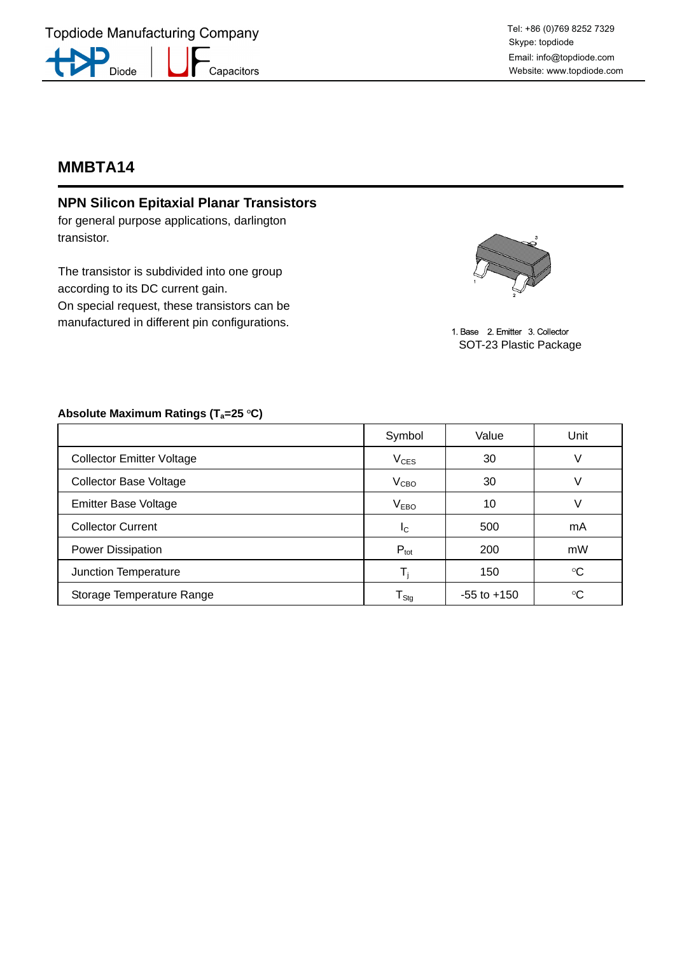## **MMBTA14**

## **NPN Silicon Epitaxial Planar Transistors**

for general purpose applications, darlington transistor.

The transistor is subdivided into one group according to its DC current gain. On special request, these transistors can be manufactured in different pin configurations.



1. Base 2. Emitter 3. Collector SOT-23 Plastic Package

## Absolute Maximum Ratings (T<sub>a</sub>=25 °C)

|                                  | Symbol                       | Value           | Unit            |
|----------------------------------|------------------------------|-----------------|-----------------|
| <b>Collector Emitter Voltage</b> | $V_{CES}$                    | 30              |                 |
| <b>Collector Base Voltage</b>    | V <sub>CBO</sub>             | 30              | V               |
| <b>Emitter Base Voltage</b>      | <b>V<sub>EBO</sub></b>       | 10              |                 |
| <b>Collector Current</b>         | <sub>IC</sub>                | 500             | mA              |
| Power Dissipation                | $P_{\text{tot}}$             | 200             | mW              |
| Junction Temperature             |                              | 150             | $\rm ^{\circ}C$ |
| Storage Temperature Range        | ${\mathsf T}_{\mathsf{Stg}}$ | $-55$ to $+150$ | °C              |